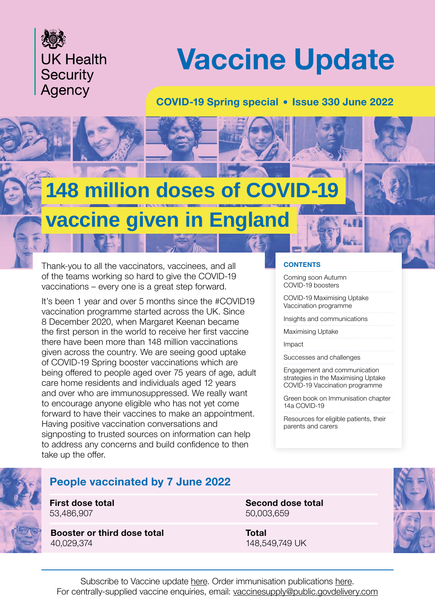

# **Vaccine Update**

### **COVID-19 Spring special • Issue 330 June 2022**

## **148 million doses of COVII**

## **vaccine given in England**

Thank-you to all the vaccinators, vaccinees, and all of the teams working so hard to give the COVID-19 vaccinations – every one is a great step forward.

It's been 1 year and over 5 months since the #COVID19 vaccination programme started across the UK. Since 8 December 2020, when Margaret Keenan became the first person in the world to receive her first vaccine there have been more than 148 million vaccinations given across the country. We are seeing good uptake of COVID-19 Spring booster vaccinations which are being offered to people aged over 75 years of age, adult care home residents and individuals aged 12 years and over who are immunosuppressed. We really want to encourage anyone eligible who has not yet come forward to have their vaccines to make an appointment. Having positive vaccination conversations and signposting to trusted sources on information can help to address any concerns and build confidence to then take up the offer.

#### **CONTENTS**

[Coming soon Autumn](#page-1-0)  [COVID-19 boosters](#page-1-0) 

[COVID-19 Maximising Uptake](#page-3-0)  [Vaccination programme](#page-3-0) 

[Insights and communications](#page-5-0)

[Maximising Uptake](#page-6-0)

[Impact](#page-6-0)

[Successes and challenges](#page-9-0)

[Engagement and communication](#page-10-0)  [strategies in the Maximising Uptake](#page-10-0)  [COVID-19 Vaccination programme](#page-10-0)

[Green book on Immunisation chapter](#page-11-0)  [14a COVID-19](#page-11-0)

[Resources for eligible patients, their](#page-11-0)  [parents and carers](#page-11-0)



### **People vaccinated by 7 June 2022**

**First dose total** 53,486,907

**Booster or third dose total** 40,029,374

**Second dose total** 50,003,659

**Total** 148,549,749 UK



Subscribe to Vaccine update [here.](https://public.govdelivery.com/accounts/UKHPA/subscribers/new?preferences=true) Order immunisation publications [here.](https://www.healthpublications.gov.uk/Home.html) For centrally-supplied vaccine enquiries, email: [vaccinesupply@public.govdelivery.com](mailto:vaccinesupply%40public.govdelivery.com?subject=Vaccine%20Update%20enquiry)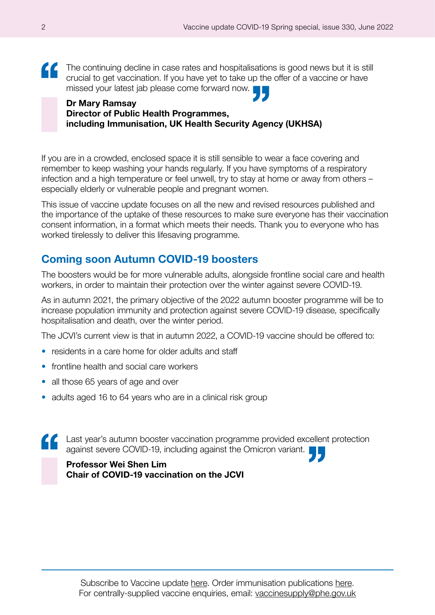<span id="page-1-0"></span>The continuing decline in case rates and hospitalisations is good news but it is still " crucial to get vaccination. If you have yet to take up the offer of a vaccine or have missed your latest jab please come forward now.

#### **Dr Mary Ramsay Director of Public Health Programmes, including Immunisation, UK Health Security Agency (UKHSA)**

If you are in a crowded, enclosed space it is still sensible to wear a face covering and remember to keep washing your hands regularly. If you have symptoms of a respiratory infection and a high temperature or feel unwell, try to stay at home or away from others – especially elderly or vulnerable people and pregnant women.

This issue of vaccine update focuses on all the new and revised resources published and the importance of the uptake of these resources to make sure everyone has their vaccination consent information, in a format which meets their needs. Thank you to everyone who has worked tirelessly to deliver this lifesaving programme.

## **Coming soon Autumn COVID-19 boosters**

The boosters would be for more vulnerable adults, alongside frontline social care and health workers, in order to maintain their protection over the winter against severe COVID-19.

As in autumn 2021, the primary objective of the 2022 autumn booster programme will be to increase population immunity and protection against severe COVID-19 disease, specifically hospitalisation and death, over the winter period.

The JCVI's current view is that in autumn 2022, a COVID-19 vaccine should be offered to:

- residents in a care home for older adults and staff
- frontline health and social care workers
- all those 65 years of age and over
- adults aged 16 to 64 years who are in a clinical risk group

Last year's autumn booster vaccination programme provided excellent protection against severe COVID-19, including against the Omicron variant.

**Professor Wei Shen Lim Chair of COVID-19 vaccination on the JCVI**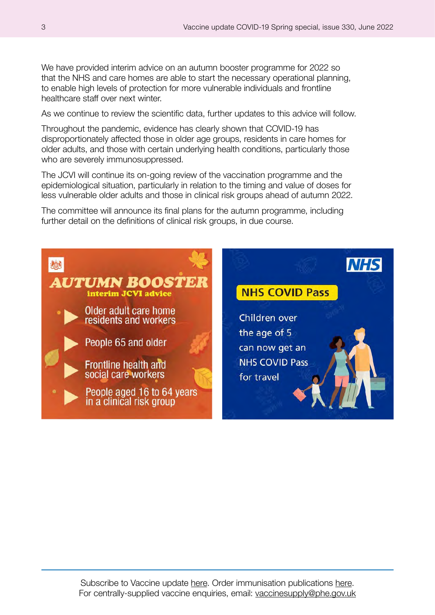We have provided interim advice on an autumn booster programme for 2022 so that the NHS and care homes are able to start the necessary operational planning, to enable high levels of protection for more vulnerable individuals and frontline healthcare staff over next winter.

As we continue to review the scientific data, further updates to this advice will follow.

Throughout the pandemic, evidence has clearly shown that COVID-19 has disproportionately affected those in older age groups, residents in care homes for older adults, and those with certain underlying health conditions, particularly those who are severely immunosuppressed.

The JCVI will continue its on-going review of the vaccination programme and the epidemiological situation, particularly in relation to the timing and value of doses for less vulnerable older adults and those in clinical risk groups ahead of autumn 2022.

The committee will announce its final plans for the autumn programme, including further detail on the definitions of clinical risk groups, in due course.

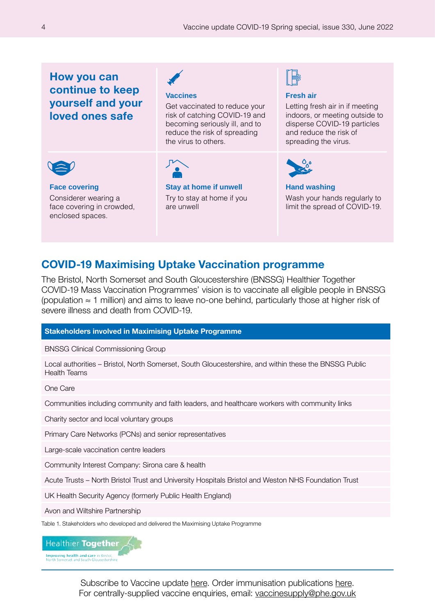## <span id="page-3-0"></span>**How you can continue to keep yourself and your loved ones safe**

#### **Vaccines**

Get vaccinated to reduce your risk of catching COVID-19 and becoming seriously ill, and to reduce the risk of spreading the virus to others.



**Face covering**  Considerer wearing a face covering in crowded, enclosed spaces.



**Stay at home if unwell** Try to stay at home if you are unwell

#### **Fresh air**

Letting fresh air in if meeting indoors, or meeting outside to disperse COVID-19 particles and reduce the risk of spreading the virus.



#### **Hand washing**

Wash your hands regularly to limit the spread of COVID-19.

### **COVID-19 Maximising Uptake Vaccination programme**

The Bristol, North Somerset and South Gloucestershire (BNSSG) Healthier Together COVID-19 Mass Vaccination Programmes' vision is to vaccinate all eligible people in BNSSG (population ≈ 1 million) and aims to leave no-one behind, particularly those at higher risk of severe illness and death from COVID-19.

#### **Stakeholders involved in Maximising Uptake Programme**

BNSSG Clinical Commissioning Group

Local authorities – Bristol, North Somerset, South Gloucestershire, and within these the BNSSG Public Health Teams

One Care

Communities including community and faith leaders, and healthcare workers with community links

Charity sector and local voluntary groups

Primary Care Networks (PCNs) and senior representatives

Large-scale vaccination centre leaders

Community Interest Company: Sirona care & health

Acute Trusts – North Bristol Trust and University Hospitals Bristol and Weston NHS Foundation Trust

UK Health Security Agency (formerly Public Health England)

Avon and Wiltshire Partnership

Table 1. Stakeholders who developed and delivered the Maximising Uptake Programme



Subscribe to Vaccine update [here.](https://public.govdelivery.com/accounts/UKHPA/subscribers/new?preferences=true) Order immunisation publications [here.](https://www.healthpublications.gov.uk/Home.html) For centrally-supplied vaccine enquiries, email: [vaccinesupply@phe.gov.uk](mailto:vaccinesupply%40phe.gov.uk?subject=)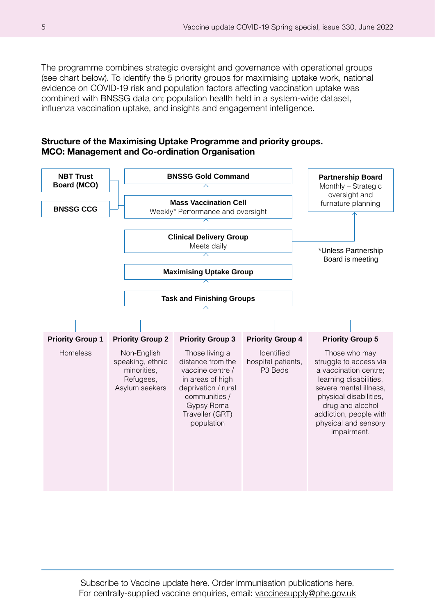The programme combines strategic oversight and governance with operational groups (see chart below). To identify the 5 priority groups for maximising uptake work, national evidence on COVID-19 risk and population factors affecting vaccination uptake was combined with BNSSG data on; population health held in a system-wide dataset, influenza vaccination uptake, and insights and engagement intelligence.



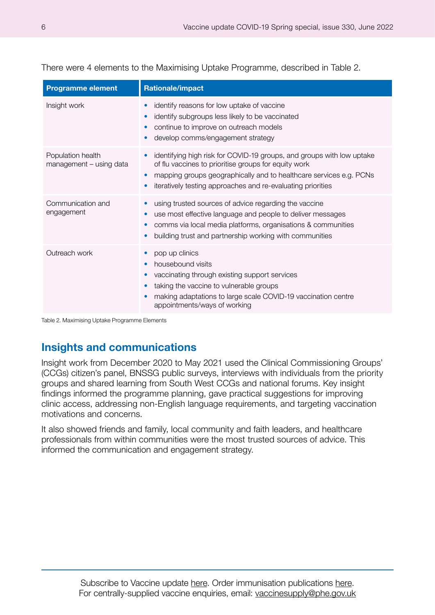| <b>Programme element</b>                     | <b>Rationale/impact</b>                                                                                                                                                                                                                                            |
|----------------------------------------------|--------------------------------------------------------------------------------------------------------------------------------------------------------------------------------------------------------------------------------------------------------------------|
| Insight work                                 | identify reasons for low uptake of vaccine<br>identify subgroups less likely to be vaccinated<br>continue to improve on outreach models<br>develop comms/engagement strategy                                                                                       |
| Population health<br>management - using data | identifying high risk for COVID-19 groups, and groups with low uptake<br>of flu vaccines to prioritise groups for equity work<br>mapping groups geographically and to healthcare services e.g. PCNs<br>iteratively testing approaches and re-evaluating priorities |
| Communication and<br>engagement              | using trusted sources of advice regarding the vaccine<br>use most effective language and people to deliver messages<br>comms via local media platforms, organisations & communities<br>$\bullet$<br>building trust and partnership working with communities        |
| Outreach work                                | pop up clinics<br>housebound visits<br>vaccinating through existing support services<br>taking the vaccine to vulnerable groups<br>making adaptations to large scale COVID-19 vaccination centre<br>appointments/ways of working                                   |

<span id="page-5-0"></span>There were 4 elements to the Maximising Uptake Programme, described in Table 2.

Table 2. Maximising Uptake Programme Elements

## **Insights and communications**

Insight work from December 2020 to May 2021 used the Clinical Commissioning Groups' (CCGs) citizen's panel, BNSSG public surveys, interviews with individuals from the priority groups and shared learning from South West CCGs and national forums. Key insight findings informed the programme planning, gave practical suggestions for improving clinic access, addressing non-English language requirements, and targeting vaccination motivations and concerns.

It also showed friends and family, local community and faith leaders, and healthcare professionals from within communities were the most trusted sources of advice. This informed the communication and engagement strategy.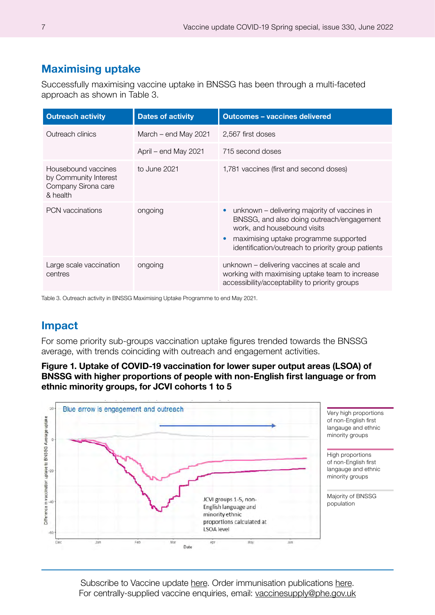## <span id="page-6-0"></span>**Maximising uptake**

Successfully maximising vaccine uptake in BNSSG has been through a multi-faceted approach as shown in Table 3.

| <b>Outreach activity</b>                                                        | <b>Dates of activity</b> | <b>Outcomes - vaccines delivered</b>                                                                                                                                                                                                 |
|---------------------------------------------------------------------------------|--------------------------|--------------------------------------------------------------------------------------------------------------------------------------------------------------------------------------------------------------------------------------|
| Outreach clinics                                                                | March – end May 2021     | 2,567 first doses                                                                                                                                                                                                                    |
|                                                                                 | April – end May 2021     | 715 second doses                                                                                                                                                                                                                     |
| Housebound vaccines<br>by Community Interest<br>Company Sirona care<br>& health | to June 2021             | 1,781 vaccines (first and second doses)                                                                                                                                                                                              |
| PCN vaccinations                                                                | ongoing                  | unknown – delivering majority of vaccines in<br>$\bullet$<br>BNSSG, and also doing outreach/engagement<br>work, and housebound visits<br>maximising uptake programme supported<br>identification/outreach to priority group patients |
| Large scale vaccination<br>centres                                              | ongoing                  | unknown - delivering vaccines at scale and<br>working with maximising uptake team to increase<br>accessibility/acceptability to priority groups                                                                                      |

Table 3. Outreach activity in BNSSG Maximising Uptake Programme to end May 2021.

## **Impact**

For some priority sub-groups vaccination uptake figures trended towards the BNSSG average, with trends coinciding with outreach and engagement activities.

**Figure 1. Uptake of COVID-19 vaccination for lower super output areas (LSOA) of BNSSG with higher proportions of people with non-English first language or from ethnic minority groups, for JCVI cohorts 1 to 5**



Subscribe to Vaccine update [here.](https://public.govdelivery.com/accounts/UKHPA/subscribers/new?preferences=true) Order immunisation publications [here.](https://www.healthpublications.gov.uk/Home.html) For centrally-supplied vaccine enquiries, email: [vaccinesupply@phe.gov.uk](mailto:vaccinesupply%40phe.gov.uk?subject=)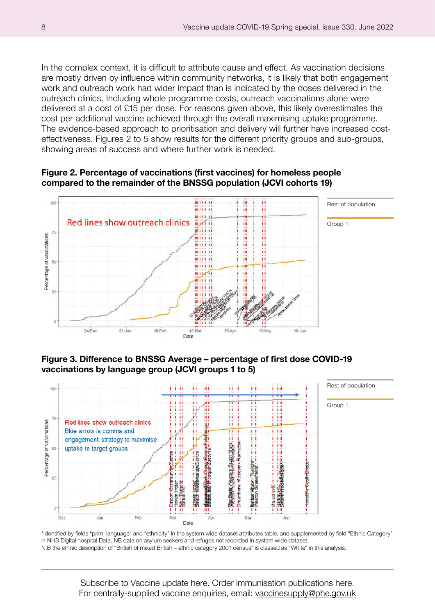In the complex context, it is difficult to attribute cause and effect. As vaccination decisions are mostly driven by influence within community networks, it is likely that both engagement work and outreach work had wider impact than is indicated by the doses delivered in the outreach clinics. Including whole programme costs, outreach vaccinations alone were delivered at a cost of £15 per dose. For reasons given above, this likely overestimates the cost per additional vaccine achieved through the overall maximising uptake programme. The evidence-based approach to prioritisation and delivery will further have increased costeffectiveness. Figures 2 to 5 show results for the different priority groups and sub-groups, showing areas of success and where further work is needed.



#### **Figure 2. Percentage of vaccinations (first vaccines) for homeless people compared to the remainder of the BNSSG population (JCVI cohorts 19)**

#### **Figure 3. Difference to BNSSG Average – percentage of first dose COVID-19 vaccinations by language group (JCVI groups 1 to 5)**



\*Identified by fields "prim\_language" and "ethnicity" in the system wide dataset attributes table, and supplemented by field "Ethnic Category" in NHS Digital hospital Data. NB data on asylum seekers and refuges not recorded in system wide dataset. N.B the ethnic description of "British of mixed British – ethnic category 2001 census" is classed as "White" in this analysis.

Subscribe to Vaccine update [here.](https://public.govdelivery.com/accounts/UKHPA/subscribers/new?preferences=true) Order immunisation publications [here.](https://www.healthpublications.gov.uk/Home.html) For centrally-supplied vaccine enquiries, email: [vaccinesupply@phe.gov.uk](mailto:vaccinesupply%40phe.gov.uk?subject=)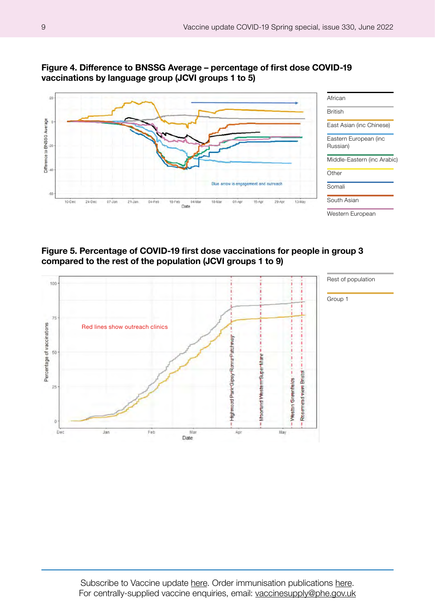



**Figure 5. Percentage of COVID-19 first dose vaccinations for people in group 3 compared to the rest of the population (JCVI groups 1 to 9)**



Subscribe to Vaccine update [here.](https://public.govdelivery.com/accounts/UKHPA/subscribers/new?preferences=true) Order immunisation publications [here.](https://www.healthpublications.gov.uk/Home.html) For centrally-supplied vaccine enquiries, email: [vaccinesupply@phe.gov.uk](mailto:vaccinesupply%40phe.gov.uk?subject=)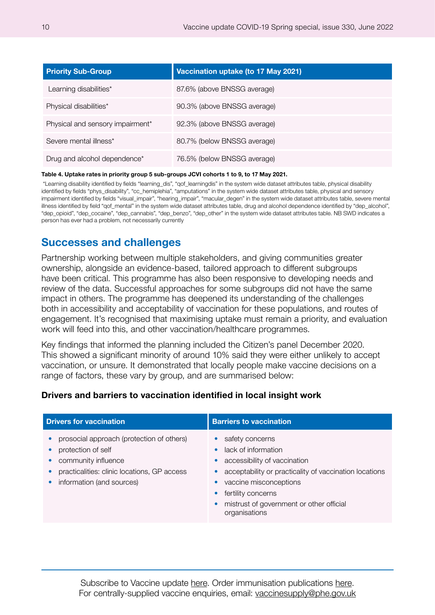<span id="page-9-0"></span>

| <b>Priority Sub-Group</b>        | Vaccination uptake (to 17 May 2021) |
|----------------------------------|-------------------------------------|
| Learning disabilities*           | 87.6% (above BNSSG average)         |
| Physical disabilities*           | 90.3% (above BNSSG average)         |
| Physical and sensory impairment* | 92.3% (above BNSSG average)         |
| Severe mental illness*           | 80.7% (below BNSSG average)         |
| Drug and alcohol dependence*     | 76.5% (below BNSSG average)         |

#### **Table 4. Uptake rates in priority group 5 sub-groups JCVI cohorts 1 to 9, to 17 May 2021.**

 \*Learning disability identified by fields "learning\_dis", "qof\_learningdis" in the system wide dataset attributes table, physical disability identified by fields "phys\_disability", "cc\_hemiplehia", "amputations" in the system wide dataset attributes table, physical and sensory impairment identified by fields "visual\_impair", "hearing\_impair", "macular\_degen" in the system wide dataset attributes table, severe mental illness identified by field "qof\_mental" in the system wide dataset attributes table, drug and alcohol dependence identified by "dep\_alcohol", "dep\_opioid", "dep\_cocaine", "dep\_cannabis", "dep\_benzo", "dep\_other" in the system wide dataset attributes table. NB SWD indicates a person has ever had a problem, not necessarily currently

#### **Successes and challenges**

Partnership working between multiple stakeholders, and giving communities greater ownership, alongside an evidence-based, tailored approach to different subgroups have been critical. This programme has also been responsive to developing needs and review of the data. Successful approaches for some subgroups did not have the same impact in others. The programme has deepened its understanding of the challenges both in accessibility and acceptability of vaccination for these populations, and routes of engagement. It's recognised that maximising uptake must remain a priority, and evaluation work will feed into this, and other vaccination/healthcare programmes.

Key findings that informed the planning included the Citizen's panel December 2020. This showed a significant minority of around 10% said they were either unlikely to accept vaccination, or unsure. It demonstrated that locally people make vaccine decisions on a range of factors, these vary by group, and are summarised below:

#### **Drivers and barriers to vaccination identified in local insight work**

| <b>Drivers for vaccination</b>                                                                                                                                                  | <b>Barriers to vaccination</b>                                                                                                                                                                                                                |
|---------------------------------------------------------------------------------------------------------------------------------------------------------------------------------|-----------------------------------------------------------------------------------------------------------------------------------------------------------------------------------------------------------------------------------------------|
| prosocial approach (protection of others)<br>protection of self<br>community influence<br>$\bullet$<br>practicalities: clinic locations, GP access<br>information (and sources) | safety concerns<br>lack of information<br>accessibility of vaccination<br>acceptability or practicality of vaccination locations<br>vaccine misconceptions<br>fertility concerns<br>mistrust of government or other official<br>organisations |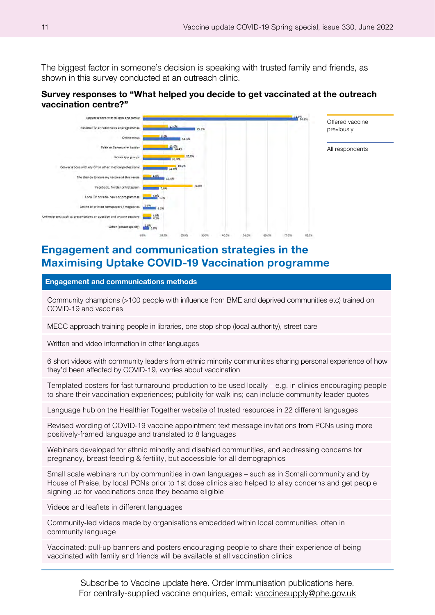<span id="page-10-0"></span>The biggest factor in someone's decision is speaking with trusted family and friends, as shown in this survey conducted at an outreach clinic.

#### **Survey responses to "What helped you decide to get vaccinated at the outreach vaccination centre?"**



Offered vaccine previously

All respondents

## **Engagement and communication strategies in the Maximising Uptake COVID-19 Vaccination programme**

**Engagement and communications methods**

Community champions (>100 people with influence from BME and deprived communities etc) trained on COVID-19 and vaccines

MECC approach training people in libraries, one stop shop (local authority), street care

Written and video information in other languages

6 short videos with community leaders from ethnic minority communities sharing personal experience of how they'd been affected by COVID-19, worries about vaccination

Templated posters for fast turnaround production to be used locally – e.g. in clinics encouraging people to share their vaccination experiences; publicity for walk ins; can include community leader quotes

Language hub on the Healthier Together website of trusted resources in 22 different languages

Revised wording of COVID-19 vaccine appointment text message invitations from PCNs using more positively-framed language and translated to 8 languages

Webinars developed for ethnic minority and disabled communities, and addressing concerns for pregnancy, breast feeding & fertility, but accessible for all demographics

Small scale webinars run by communities in own languages – such as in Somali community and by House of Praise, by local PCNs prior to 1st dose clinics also helped to allay concerns and get people signing up for vaccinations once they became eligible

Videos and leaflets in different languages

Community-led videos made by organisations embedded within local communities, often in community language

Vaccinated: pull-up banners and posters encouraging people to share their experience of being vaccinated with family and friends will be available at all vaccination clinics

Subscribe to Vaccine update [here.](https://public.govdelivery.com/accounts/UKHPA/subscribers/new?preferences=true) Order immunisation publications [here.](https://www.healthpublications.gov.uk/Home.html) For centrally-supplied vaccine enquiries, email: [vaccinesupply@phe.gov.uk](mailto:vaccinesupply%40phe.gov.uk?subject=)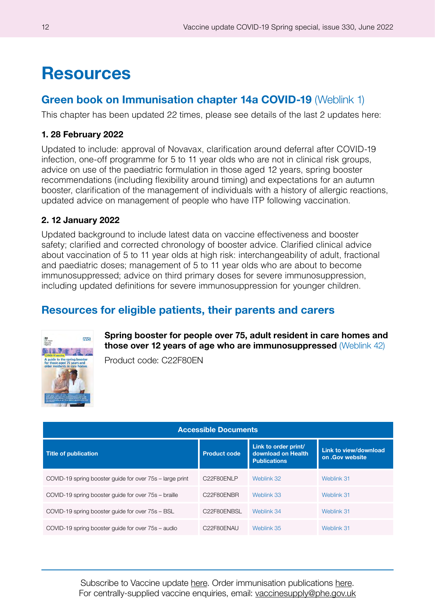## <span id="page-11-0"></span>**Resources**

## **Green book on Immunisation chapter 14a COVID-19** ([Weblink 1\)](https://www.gov.uk/government/publications/covid-19-the-green-book-chapter-14a)

This chapter has been updated 22 times, please see details of the last 2 updates here:

#### **1. 28 February 2022**

Updated to include: approval of Novavax, clarification around deferral after COVID-19 infection, one-off programme for 5 to 11 year olds who are not in clinical risk groups, advice on use of the paediatric formulation in those aged 12 years, spring booster recommendations (including flexibility around timing) and expectations for an autumn booster, clarification of the management of individuals with a history of allergic reactions, updated advice on management of people who have ITP following vaccination.

#### **2. 12 January 2022**

Updated background to include latest data on vaccine effectiveness and booster safety; clarified and corrected chronology of booster advice. Clarified clinical advice about vaccination of 5 to 11 year olds at high risk: interchangeability of adult, fractional and paediatric doses; management of 5 to 11 year olds who are about to become immunosuppressed; advice on third primary doses for severe immunosuppression, including updated definitions for severe immunosuppression for younger children.

## **Resources for eligible patients, their parents and carers**



**Spring booster for people over 75, adult resident in care homes and those over 12 years of age who are immunosuppressed** [\(Weblink 42\)](https://www.gov.uk/government/publications/covid-19-vaccination-spring-booster-resources)

Product code: C22F80EN

| <b>Accessible Documents</b>                              |                     |                                                                   |                                          |  |  |
|----------------------------------------------------------|---------------------|-------------------------------------------------------------------|------------------------------------------|--|--|
| <b>Title of publication</b>                              | <b>Product code</b> | Link to order print/<br>download on Health<br><b>Publications</b> | Link to view/download<br>on .Gov website |  |  |
| COVID-19 spring booster quide for over 75s – large print | C22F80ENLP          | Weblink 32                                                        | Weblink 31                               |  |  |
| COVID-19 spring booster quide for over 75s – braille     | C22F80ENBR          | Weblink 33                                                        | Weblink 31                               |  |  |
| COVID-19 spring booster quide for over 75s - BSL         | C22F80ENBSL         | Weblink 34                                                        | Weblink 31                               |  |  |
| COVID-19 spring booster quide for over 75s – audio       | C22F80ENAU          | Weblink 35                                                        | Weblink 31                               |  |  |

Subscribe to Vaccine update [here.](https://public.govdelivery.com/accounts/UKHPA/subscribers/new?preferences=true) Order immunisation publications [here.](https://www.healthpublications.gov.uk/Home.html) For centrally-supplied vaccine enquiries, email: [vaccinesupply@phe.gov.uk](mailto:vaccinesupply%40phe.gov.uk?subject=)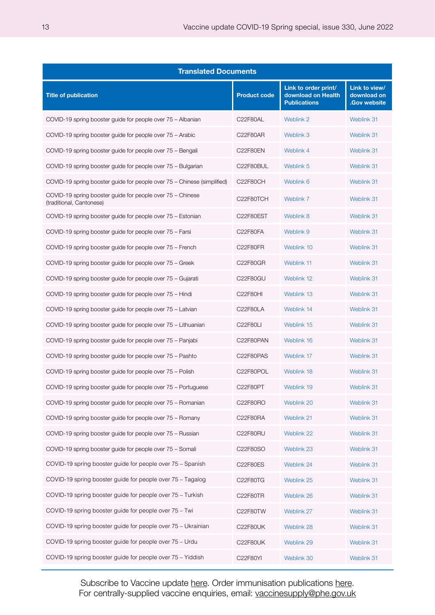| <b>Translated Documents</b>                                                            |                     |                                                                   |                                                     |  |
|----------------------------------------------------------------------------------------|---------------------|-------------------------------------------------------------------|-----------------------------------------------------|--|
| <b>Title of publication</b>                                                            | <b>Product code</b> | Link to order print/<br>download on Health<br><b>Publications</b> | Link to view/<br>download on<br><b>.Gov website</b> |  |
| COVID-19 spring booster guide for people over 75 – Albanian                            | C22F80AL            | Weblink 2                                                         | Weblink 31                                          |  |
| COVID-19 spring booster guide for people over 75 – Arabic                              | C22F80AR            | Weblink 3                                                         | Weblink 31                                          |  |
| COVID-19 spring booster guide for people over 75 – Bengali                             | C22F80EN            | Weblink 4                                                         | Weblink 31                                          |  |
| COVID-19 spring booster guide for people over 75 - Bulgarian                           | C22F80BUL           | Weblink 5                                                         | Weblink 31                                          |  |
| COVID-19 spring booster guide for people over 75 – Chinese (simplified)                | C22F80CH            | Weblink 6                                                         | Weblink 31                                          |  |
| COVID-19 spring booster guide for people over 75 - Chinese<br>(traditional, Cantonese) | C22F80TCH           | Weblink 7                                                         | Weblink 31                                          |  |
| COVID-19 spring booster guide for people over 75 – Estonian                            | C22F80EST           | Weblink 8                                                         | Weblink 31                                          |  |
| COVID-19 spring booster guide for people over 75 - Farsi                               | C22F80FA            | Weblink 9                                                         | Weblink 31                                          |  |
| COVID-19 spring booster guide for people over 75 - French                              | C22F80FR            | Weblink 10                                                        | Weblink 31                                          |  |
| COVID-19 spring booster guide for people over 75 – Greek                               | C22F80GR            | Weblink 11                                                        | Weblink 31                                          |  |
| COVID-19 spring booster guide for people over 75 – Gujarati                            | C22F80GU            | Weblink 12                                                        | Weblink 31                                          |  |
| COVID-19 spring booster guide for people over 75 - Hindi                               | C22F80HI            | Weblink 13                                                        | Weblink 31                                          |  |
| COVID-19 spring booster guide for people over 75 - Latvian                             | C22F80LA            | Weblink 14                                                        | Weblink 31                                          |  |
| COVID-19 spring booster guide for people over 75 - Lithuanian                          | C22F80LI            | Weblink 15                                                        | Weblink 31                                          |  |
| COVID-19 spring booster guide for people over 75 - Panjabi                             | C22F80PAN           | Weblink 16                                                        | Weblink 31                                          |  |
| COVID-19 spring booster guide for people over 75 - Pashto                              | C22F80PAS           | Weblink 17                                                        | Weblink 31                                          |  |
| COVID-19 spring booster guide for people over 75 – Polish                              | C22F80POL           | Weblink 18                                                        | Weblink 31                                          |  |
| COVID-19 spring booster guide for people over 75 - Portuguese                          | C22F80PT            | Weblink 19                                                        | Weblink 31                                          |  |
| COVID-19 spring booster guide for people over 75 - Romanian                            | C22F80RO            | Weblink 20                                                        | Weblink 31                                          |  |
| COVID-19 spring booster guide for people over 75 - Romany                              | C22F80RA            | Weblink 21                                                        | Weblink 31                                          |  |
| COVID-19 spring booster guide for people over 75 - Russian                             | C22F80RU            | Weblink 22                                                        | Weblink 31                                          |  |
| COVID-19 spring booster guide for people over 75 - Somali                              | C22F80SO            | Weblink 23                                                        | Weblink 31                                          |  |
| COVID-19 spring booster guide for people over 75 - Spanish                             | C22F80ES            | Weblink 24                                                        | Weblink 31                                          |  |
| COVID-19 spring booster guide for people over 75 - Tagalog                             | C22F80TG            | Weblink 25                                                        | Weblink 31                                          |  |
| COVID-19 spring booster guide for people over 75 - Turkish                             | C22F80TR            | Weblink 26                                                        | Weblink 31                                          |  |
| COVID-19 spring booster guide for people over 75 - Twi                                 | C22F80TW            | Weblink 27                                                        | Weblink 31                                          |  |
| COVID-19 spring booster guide for people over 75 - Ukrainian                           | <b>C22F80UK</b>     | Weblink 28                                                        | Weblink 31                                          |  |
| COVID-19 spring booster guide for people over 75 - Urdu                                | <b>C22F80UK</b>     | Weblink 29                                                        | Weblink 31                                          |  |
| COVID-19 spring booster guide for people over 75 - Yiddish                             | C22F80YI            | Weblink 30                                                        | Weblink 31                                          |  |

Subscribe to Vaccine update [here.](https://www.healthpublications.gov.uk/Home.html) Order immunisation publications here. For centrally-supplied vaccine enquiries, email: [vaccinesupply@phe.gov.uk](mailto:vaccinesupply%40phe.gov.uk?subject=)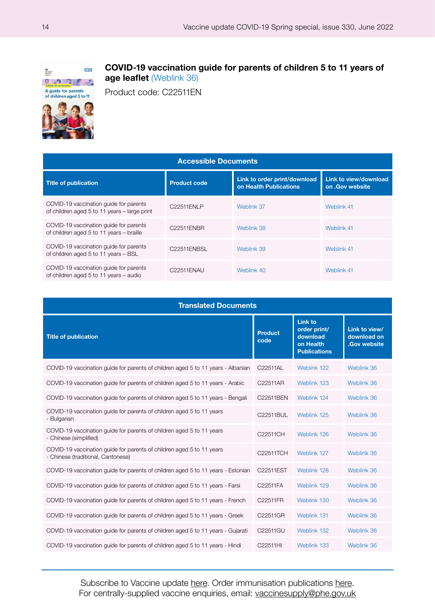

#### **COVID-19 vaccination guide for parents of children 5 to 11 years of age leaflet** [\(Weblink 36\)](https://www.gov.uk/government/publications/covid-19-vaccination-resources-for-children-aged-5-to-11-years)

Product code: C22511EN

| <b>Accessible Documents</b>                                                            |                          |                                                        |                                          |  |  |
|----------------------------------------------------------------------------------------|--------------------------|--------------------------------------------------------|------------------------------------------|--|--|
| <b>Title of publication</b>                                                            | <b>Product code</b>      | Link to order print/download<br>on Health Publications | Link to view/download<br>on .Gov website |  |  |
| COVID-19 vaccination quide for parents<br>of children aged 5 to 11 years - large print | C22511ENLP               | Weblink 37                                             | Weblink 41                               |  |  |
| COVID-19 vaccination guide for parents<br>of children aged 5 to 11 years - braille     | C22511ENBR               | Weblink 38                                             | Weblink 41                               |  |  |
| COVID-19 vaccination guide for parents<br>of children aged 5 to 11 years - BSL         | C <sub>22511</sub> ENBSL | Weblink 39                                             | Weblink 41                               |  |  |
| COVID-19 vaccination guide for parents<br>of children aged 5 to 11 years - audio       | C22511ENAU               | Weblink 40                                             | Weblink 41                               |  |  |

| <b>Translated Documents</b>                                                                                 |           |                                                                                |                                                    |  |
|-------------------------------------------------------------------------------------------------------------|-----------|--------------------------------------------------------------------------------|----------------------------------------------------|--|
| <b>Title of publication</b>                                                                                 |           | <b>Link to</b><br>order print/<br>download<br>on Health<br><b>Publications</b> | Link to view/<br>download on<br><b>Gov website</b> |  |
| COVID-19 vaccination guide for parents of children aged 5 to 11 years - Albanian                            | C22511AL  | Weblink 122                                                                    | Weblink 36                                         |  |
| COVID-19 vaccination guide for parents of children aged 5 to 11 years - Arabic                              | C22511AR  | Weblink 123                                                                    | Weblink 36                                         |  |
| COVID-19 vaccination quide for parents of children aged 5 to 11 years - Bengali                             | C22511BEN | Weblink 124                                                                    | Weblink 36                                         |  |
| COVID-19 vaccination guide for parents of children aged 5 to 11 years<br>- Bulgarian                        | C22511BUL | Weblink 125                                                                    | Weblink 36                                         |  |
| COVID-19 vaccination guide for parents of children aged 5 to 11 years<br>- Chinese (simplified)             | C22511CH  | Weblink 126                                                                    | Weblink 36                                         |  |
| COVID-19 vaccination guide for parents of children aged 5 to 11 years<br>- Chinese (traditional, Cantonese) | C22511TCH | Weblink 127                                                                    | Weblink 36                                         |  |
| COVID-19 vaccination guide for parents of children aged 5 to 11 years - Estonian                            | C22511EST | Weblink 128                                                                    | Weblink 36                                         |  |
| COVID-19 vaccination quide for parents of children aged 5 to 11 years - Farsi                               | C22511FA  | Weblink 129                                                                    | Weblink 36                                         |  |
| COVID-19 vaccination guide for parents of children aged 5 to 11 years - French                              | C22511FR  | Weblink 130                                                                    | Weblink 36                                         |  |
| COVID-19 vaccination guide for parents of children aged 5 to 11 years - Greek                               | C22511GR  | Weblink 131                                                                    | Weblink 36                                         |  |
| COVID-19 vaccination guide for parents of children aged 5 to 11 years - Gujarati                            | C22511GU  | Weblink 132                                                                    | Weblink 36                                         |  |
| COVID-19 vaccination guide for parents of children aged 5 to 11 years - Hindi                               | C22511HI  | Weblink 133                                                                    | Weblink 36                                         |  |

Subscribe to Vaccine update [here.](https://www.healthpublications.gov.uk/Home.html) Order immunisation publications here. For centrally-supplied vaccine enquiries, email: [vaccinesupply@phe.gov.uk](mailto:vaccinesupply%40phe.gov.uk?subject=)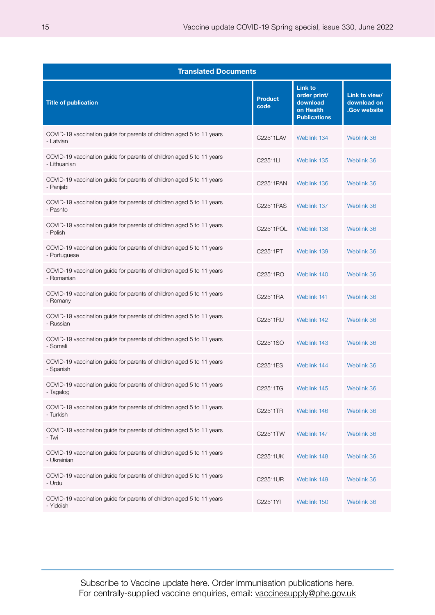| <b>Translated Documents</b>                                                           |                        |                                                                                |                                                    |
|---------------------------------------------------------------------------------------|------------------------|--------------------------------------------------------------------------------|----------------------------------------------------|
| <b>Title of publication</b>                                                           | <b>Product</b><br>code | <b>Link to</b><br>order print/<br>download<br>on Health<br><b>Publications</b> | Link to view/<br>download on<br><b>Gov website</b> |
| COVID-19 vaccination guide for parents of children aged 5 to 11 years<br>- Latvian    | C22511LAV              | Weblink 134                                                                    | Weblink 36                                         |
| COVID-19 vaccination guide for parents of children aged 5 to 11 years<br>- Lithuanian | C22511LI               | Weblink 135                                                                    | Weblink 36                                         |
| COVID-19 vaccination guide for parents of children aged 5 to 11 years<br>- Panjabi    | C22511PAN              | Weblink 136                                                                    | Weblink 36                                         |
| COVID-19 vaccination guide for parents of children aged 5 to 11 years<br>- Pashto     | C22511PAS              | Weblink 137                                                                    | Weblink 36                                         |
| COVID-19 vaccination guide for parents of children aged 5 to 11 years<br>- Polish     | C22511POL              | Weblink 138                                                                    | Weblink 36                                         |
| COVID-19 vaccination guide for parents of children aged 5 to 11 years<br>- Portuguese | C22511PT               | Weblink 139                                                                    | Weblink 36                                         |
| COVID-19 vaccination guide for parents of children aged 5 to 11 years<br>- Romanian   | C22511RO               | Weblink 140                                                                    | Weblink 36                                         |
| COVID-19 vaccination guide for parents of children aged 5 to 11 years<br>- Romany     | C22511RA               | Weblink 141                                                                    | Weblink 36                                         |
| COVID-19 vaccination guide for parents of children aged 5 to 11 years<br>- Russian    | C22511RU               | Weblink 142                                                                    | Weblink 36                                         |
| COVID-19 vaccination guide for parents of children aged 5 to 11 years<br>- Somali     | C22511SO               | Weblink 143                                                                    | Weblink 36                                         |
| COVID-19 vaccination guide for parents of children aged 5 to 11 years<br>- Spanish    | C22511ES               | Weblink 144                                                                    | Weblink 36                                         |
| COVID-19 vaccination guide for parents of children aged 5 to 11 years<br>- Tagalog    | C22511TG               | Weblink 145                                                                    | Weblink 36                                         |
| COVID-19 vaccination guide for parents of children aged 5 to 11 years<br>- Turkish    | C22511TR               | Weblink 146                                                                    | Weblink 36                                         |
| COVID-19 vaccination guide for parents of children aged 5 to 11 years<br>- Twi        | C22511TW               | Weblink 147                                                                    | Weblink 36                                         |
| COVID-19 vaccination quide for parents of children aged 5 to 11 years<br>- Ukrainian  | C22511UK               | Weblink 148                                                                    | Weblink 36                                         |
| COVID-19 vaccination guide for parents of children aged 5 to 11 years<br>- Urdu       | C22511UR               | Weblink 149                                                                    | Weblink 36                                         |
| COVID-19 vaccination guide for parents of children aged 5 to 11 years<br>- Yiddish    | C22511YI               | Weblink 150                                                                    | Weblink 36                                         |

Subscribe to Vaccine update [here.](https://www.healthpublications.gov.uk/Home.html) Order immunisation publications here. For centrally-supplied vaccine enquiries, email: [vaccinesupply@phe.gov.uk](mailto:vaccinesupply%40phe.gov.uk?subject=)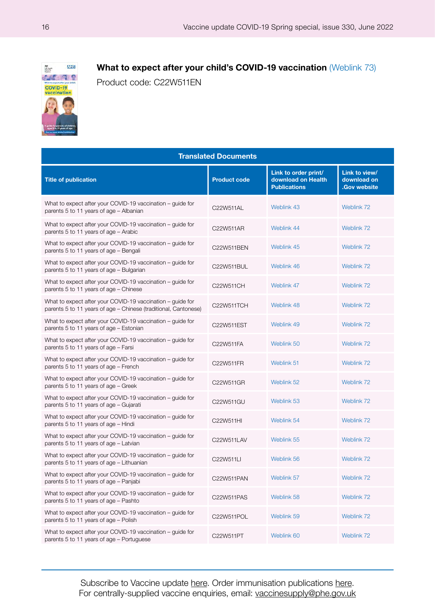#### **What to expect after your child's COVID-19 vaccination ([Weblink 73\)](https://www.healthpublications.gov.uk/ViewArticle.html?sp=Swhattoexpectafteryourchildscovid19vaccination)**

Product code: C22W511EN

| <b>Translated Documents</b>                                                                                                   |                     |                                                                   |                                                     |  |  |
|-------------------------------------------------------------------------------------------------------------------------------|---------------------|-------------------------------------------------------------------|-----------------------------------------------------|--|--|
| <b>Title of publication</b>                                                                                                   | <b>Product code</b> | Link to order print/<br>download on Health<br><b>Publications</b> | Link to view/<br>download on<br><b>.Gov website</b> |  |  |
| What to expect after your COVID-19 vaccination – guide for<br>parents 5 to 11 years of age - Albanian                         | C22W511AL           | Weblink 43                                                        | Weblink 72                                          |  |  |
| What to expect after your COVID-19 vaccination – guide for<br>parents 5 to 11 years of age – Arabic                           | C22W511AR           | <b>Weblink 44</b>                                                 | Weblink 72                                          |  |  |
| What to expect after your COVID-19 vaccination – guide for<br>parents 5 to 11 years of age - Bengali                          | C22W511BEN          | Weblink 45                                                        | Weblink 72                                          |  |  |
| What to expect after your COVID-19 vaccination – guide for<br>parents 5 to 11 years of age - Bulgarian                        | C22W511BUL          | Weblink 46                                                        | Weblink 72                                          |  |  |
| What to expect after your COVID-19 vaccination – guide for<br>parents 5 to 11 years of age - Chinese                          | C22W511CH           | Weblink 47                                                        | Weblink 72                                          |  |  |
| What to expect after your COVID-19 vaccination - quide for<br>parents 5 to 11 years of age - Chinese (traditional, Cantonese) | C22W511TCH          | Weblink 48                                                        | Weblink 72                                          |  |  |
| What to expect after your COVID-19 vaccination – guide for<br>parents 5 to 11 years of age - Estonian                         | C22W511EST          | Weblink 49                                                        | Weblink 72                                          |  |  |
| What to expect after your COVID-19 vaccination - quide for<br>parents 5 to 11 years of age - Farsi                            | C22W511FA           | Weblink 50                                                        | Weblink 72                                          |  |  |
| What to expect after your COVID-19 vaccination – guide for<br>parents 5 to 11 years of age - French                           | C22W511FR           | Weblink 51                                                        | Weblink 72                                          |  |  |
| What to expect after your COVID-19 vaccination – guide for<br>parents 5 to 11 years of age - Greek                            | C22W511GR           | Weblink 52                                                        | Weblink 72                                          |  |  |
| What to expect after your COVID-19 vaccination – guide for<br>parents 5 to 11 years of age - Gujarati                         | C22W511GU           | Weblink 53                                                        | Weblink 72                                          |  |  |
| What to expect after your COVID-19 vaccination – guide for<br>parents 5 to 11 years of age - Hindi                            | C22W511HI           | Weblink 54                                                        | Weblink 72                                          |  |  |
| What to expect after your COVID-19 vaccination – guide for<br>parents 5 to 11 years of age - Latvian                          | C22W511LAV          | Weblink 55                                                        | Weblink 72                                          |  |  |
| What to expect after your COVID-19 vaccination - quide for<br>parents 5 to 11 years of age - Lithuanian                       | C22W511LI           | Weblink 56                                                        | Weblink 72                                          |  |  |
| What to expect after your COVID-19 vaccination - guide for<br>parents 5 to 11 years of age - Panjabi                          | C22W511PAN          | Weblink 57                                                        | Weblink 72                                          |  |  |
| What to expect after your COVID-19 vaccination – guide for<br>parents 5 to 11 years of age - Pashto                           | C22W511PAS          | Weblink 58                                                        | Weblink 72                                          |  |  |
| What to expect after your COVID-19 vaccination – guide for<br>parents 5 to 11 years of age - Polish                           | C22W511POL          | Weblink 59                                                        | Weblink 72                                          |  |  |
| What to expect after your COVID-19 vaccination - quide for<br>parents 5 to 11 years of age - Portuguese                       | C22W511PT           | Weblink 60                                                        | Weblink 72                                          |  |  |

Subscribe to Vaccine update [here.](https://www.healthpublications.gov.uk/Home.html) Order immunisation publications here. For centrally-supplied vaccine enquiries, email: [vaccinesupply@phe.gov.uk](mailto:vaccinesupply%40phe.gov.uk?subject=)

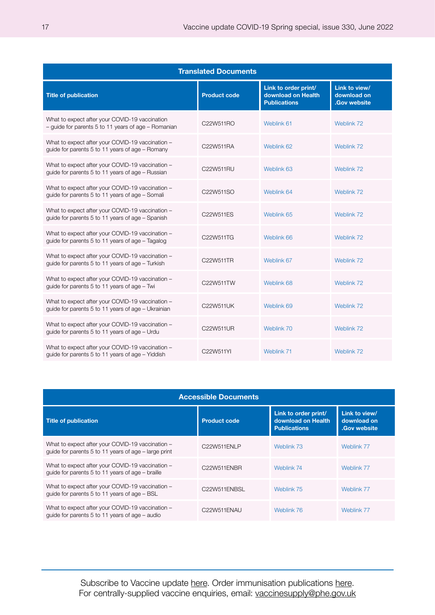| <b>Translated Documents</b>                                                                               |                                     |                                                                   |                                              |  |  |
|-----------------------------------------------------------------------------------------------------------|-------------------------------------|-------------------------------------------------------------------|----------------------------------------------|--|--|
| <b>Title of publication</b>                                                                               | <b>Product code</b>                 | Link to order print/<br>download on Health<br><b>Publications</b> | Link to view/<br>download on<br>.Gov website |  |  |
| What to expect after your COVID-19 vaccination<br>$-$ quide for parents 5 to 11 years of age $-$ Romanian | C22W511RO                           | Weblink 61                                                        | Weblink 72                                   |  |  |
| What to expect after your COVID-19 vaccination -<br>guide for parents 5 to 11 years of age - Romany       | C22W511RA                           | Weblink 62                                                        | Weblink 72                                   |  |  |
| What to expect after your COVID-19 vaccination -<br>guide for parents 5 to 11 years of age - Russian      | C22W511RU                           | Weblink 63                                                        | Weblink 72                                   |  |  |
| What to expect after your COVID-19 vaccination -<br>guide for parents 5 to 11 years of age - Somali       | C <sub>22</sub> W <sub>511</sub> SO | Weblink 64                                                        | Weblink 72                                   |  |  |
| What to expect after your COVID-19 vaccination -<br>guide for parents 5 to 11 years of age - Spanish      | C22W511ES                           | Weblink 65                                                        | Weblink 72                                   |  |  |
| What to expect after your COVID-19 vaccination -<br>guide for parents 5 to 11 years of age - Tagalog      | C22W511TG                           | Weblink 66                                                        | Weblink 72                                   |  |  |
| What to expect after your COVID-19 vaccination -<br>guide for parents 5 to 11 years of age - Turkish      | C22W511TR                           | Weblink 67                                                        | Weblink 72                                   |  |  |
| What to expect after your COVID-19 vaccination -<br>guide for parents 5 to 11 years of age - Twi          | C22W511TW                           | Weblink 68                                                        | Weblink 72                                   |  |  |
| What to expect after your COVID-19 vaccination -<br>guide for parents 5 to 11 years of age - Ukrainian    | C22W511UK                           | Weblink 69                                                        | Weblink 72                                   |  |  |
| What to expect after your COVID-19 vaccination -<br>guide for parents 5 to 11 years of age - Urdu         | C22W511UR                           | Weblink 70                                                        | Weblink 72                                   |  |  |
| What to expect after your COVID-19 vaccination -<br>quide for parents 5 to 11 years of age - Yiddish      | C22W511YI                           | Weblink 71                                                        | Weblink 72                                   |  |  |

| <b>Accessible Documents</b>                                                                              |                     |                                                                   |                                                    |  |  |
|----------------------------------------------------------------------------------------------------------|---------------------|-------------------------------------------------------------------|----------------------------------------------------|--|--|
| <b>Title of publication</b>                                                                              | <b>Product code</b> | Link to order print/<br>download on Health<br><b>Publications</b> | Link to view/<br>download on<br><b>Gov website</b> |  |  |
| What to expect after your COVID-19 vaccination -<br>quide for parents 5 to 11 years of age - large print | C22W511ENLP         | Weblink 73                                                        | Weblink 77                                         |  |  |
| What to expect after your COVID-19 vaccination -<br>quide for parents 5 to 11 years of age - braille     | C22W511ENBR         | Weblink 74                                                        | Weblink 77                                         |  |  |
| What to expect after your COVID-19 vaccination -<br>quide for parents 5 to 11 years of age - BSL         | C22W511ENBSL        | Weblink 75                                                        | Weblink 77                                         |  |  |
| What to expect after your COVID-19 vaccination -<br>quide for parents 5 to 11 years of age - audio       | C22W511ENAU         | Weblink 76                                                        | Weblink 77                                         |  |  |

Subscribe to Vaccine update [here.](https://www.healthpublications.gov.uk/Home.html) Order immunisation publications here. For centrally-supplied vaccine enquiries, email: [vaccinesupply@phe.gov.uk](mailto:vaccinesupply%40phe.gov.uk?subject=)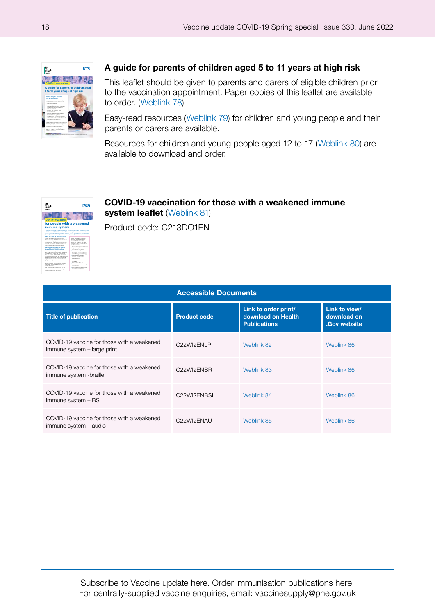

#### **A guide for parents of children aged 5 to 11 years at high risk**

This leaflet should be given to parents and carers of eligible children prior to the vaccination appointment. Paper copies of this leaflet are available to [order.](https://www.healthpublications.gov.uk/ViewArticle.html?sp=Scovid19vaccinationguideforparentsofatriskchildren) ([Weblink](https://www.healthpublications.gov.uk/ViewArticle.html?sp=Scovid19vaccinationguideforparentsofatriskchildren) 78)

[Easy-read resources](https://www.gov.uk/government/publications/covid-19-vaccination-easy-read-resources-for-children-and-young-people) ([Weblink](https://www.gov.uk/government/publications/covid-19-vaccination-easy-read-resources-for-children-and-young-people) 79) for children and young people and their parents or carers are available.

[Resources for children and young people aged 12 to 17 \(Weblink](https://www.gov.uk/government/publications/covid-19-vaccination-resources-for-children-and-young-people) 80) are available to download and order.



#### **COVID-19 vaccination for those with a weakened immune system leaflet** ([Weblink 8](https://www.gov.uk/government/publications/covid-19-vaccination-for-people-with-a-weakened-immune-system)1)

**Product code: C213DO1EN** 

| <b>Accessible Documents</b>                                               |                     |                                                                   |                                              |
|---------------------------------------------------------------------------|---------------------|-------------------------------------------------------------------|----------------------------------------------|
| <b>Title of publication</b>                                               | <b>Product code</b> | Link to order print/<br>download on Health<br><b>Publications</b> | Link to view/<br>download on<br>.Gov website |
| COVID-19 vaccine for those with a weakened<br>immune system - large print | C22WI2ENLP          | Weblink 82                                                        | Weblink 86                                   |
| COVID-19 vaccine for those with a weakened<br>immune system -braille      | C22WI2ENBR          | Weblink 83                                                        | Weblink 86                                   |
| COVID-19 vaccine for those with a weakened<br>immune system - BSL         | C22WI2ENBSL         | Weblink 84                                                        | Weblink 86                                   |
| COVID-19 vaccine for those with a weakened<br>immune system - audio       | C22WI2ENAU          | Weblink 85                                                        | Weblink 86                                   |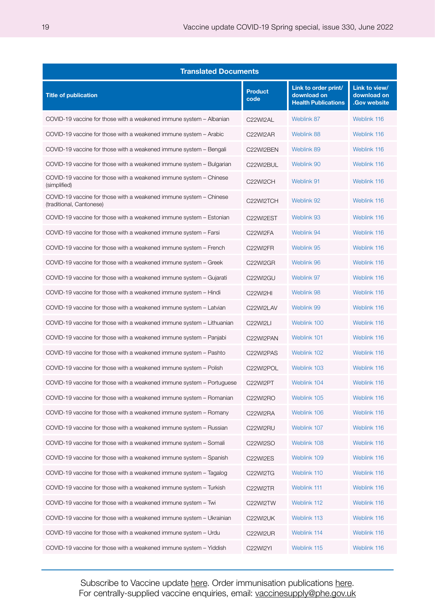| <b>Translated Documents</b>                                                                    |                                   |                                                                   |                                                     |
|------------------------------------------------------------------------------------------------|-----------------------------------|-------------------------------------------------------------------|-----------------------------------------------------|
| <b>Title of publication</b>                                                                    | <b>Product</b><br>code            | Link to order print/<br>download on<br><b>Health Publications</b> | Link to view/<br>download on<br><b>.Gov website</b> |
| COVID-19 vaccine for those with a weakened immune system - Albanian                            | C22WI2AL                          | Weblink 87                                                        | Weblink 116                                         |
| COVID-19 vaccine for those with a weakened immune system - Arabic                              | C22WI2AR                          | Weblink 88                                                        | Weblink 116                                         |
| COVID-19 vaccine for those with a weakened immune system - Bengali                             | C22WI2BEN                         | Weblink 89                                                        | Weblink 116                                         |
| COVID-19 vaccine for those with a weakened immune system - Bulgarian                           | C22WI2BUL                         | Weblink 90                                                        | Weblink 116                                         |
| COVID-19 vaccine for those with a weakened immune system - Chinese<br>(simplified)             | C22WI2CH                          | Weblink 91                                                        | Weblink 116                                         |
| COVID-19 vaccine for those with a weakened immune system - Chinese<br>(traditional, Cantonese) | C22WI2TCH                         | Weblink 92                                                        | Weblink 116                                         |
| COVID-19 vaccine for those with a weakened immune system - Estonian                            | C22WI2EST                         | Weblink 93                                                        | Weblink 116                                         |
| COVID-19 vaccine for those with a weakened immune system - Farsi                               | C <sub>22</sub> WI <sub>2FA</sub> | Weblink 94                                                        | Weblink 116                                         |
| COVID-19 vaccine for those with a weakened immune system - French                              | C22WI2FR                          | Weblink 95                                                        | Weblink 116                                         |
| COVID-19 vaccine for those with a weakened immune system - Greek                               | C22WI2GR                          | Weblink 96                                                        | Weblink 116                                         |
| COVID-19 vaccine for those with a weakened immune system - Gujarati                            | C22WI2GU                          | Weblink 97                                                        | Weblink 116                                         |
| COVID-19 vaccine for those with a weakened immune system - Hindi                               | C22WI2HI                          | Weblink 98                                                        | Weblink 116                                         |
| COVID-19 vaccine for those with a weakened immune system - Latvian                             | C22WI2LAV                         | Weblink 99                                                        | Weblink 116                                         |
| COVID-19 vaccine for those with a weakened immune system - Lithuanian                          | C22WI2LI                          | Weblink 100                                                       | Weblink 116                                         |
| COVID-19 vaccine for those with a weakened immune system - Panjabi                             | C22WI2PAN                         | Weblink 101                                                       | Weblink 116                                         |
| COVID-19 vaccine for those with a weakened immune system - Pashto                              | C22WI2PAS                         | Weblink 102                                                       | Weblink 116                                         |
| COVID-19 vaccine for those with a weakened immune system - Polish                              | C22WI2POL                         | Weblink 103                                                       | Weblink 116                                         |
| COVID-19 vaccine for those with a weakened immune system - Portuguese                          | C22WI2PT                          | Weblink 104                                                       | Weblink 116                                         |
| COVID-19 vaccine for those with a weakened immune system - Romanian                            | C22WI2RO                          | Weblink 105                                                       | Weblink 116                                         |
| COVID-19 vaccine for those with a weakened immune system - Romany                              | C22WI2RA                          | Weblink 106                                                       | Weblink 116                                         |
| COVID-19 vaccine for those with a weakened immune system - Russian                             | C22WI2RU                          | Weblink 107                                                       | Weblink 116                                         |
| COVID-19 vaccine for those with a weakened immune system - Somali                              | C22WI2SO                          | Weblink 108                                                       | Weblink 116                                         |
| COVID-19 vaccine for those with a weakened immune system - Spanish                             | C22WI2ES                          | Weblink 109                                                       | Weblink 116                                         |
| COVID-19 vaccine for those with a weakened immune system - Tagalog                             | C22WI2TG                          | Weblink 110                                                       | Weblink 116                                         |
| COVID-19 vaccine for those with a weakened immune system - Turkish                             | C22WI2TR                          | Weblink 111                                                       | Weblink 116                                         |
| COVID-19 vaccine for those with a weakened immune system - Twi                                 | C22WI2TW                          | Weblink 112                                                       | Weblink 116                                         |
| COVID-19 vaccine for those with a weakened immune system - Ukrainian                           | C22WI2UK                          | Weblink 113                                                       | Weblink 116                                         |
| COVID-19 vaccine for those with a weakened immune system - Urdu                                | C22WI2UR                          | Weblink 114                                                       | Weblink 116                                         |
| COVID-19 vaccine for those with a weakened immune system - Yiddish                             | C22WI2YI                          | Weblink 115                                                       | Weblink 116                                         |

Subscribe to Vaccine update [here.](https://www.healthpublications.gov.uk/Home.html) Order immunisation publications here. For centrally-supplied vaccine enquiries, email: [vaccinesupply@phe.gov.uk](mailto:vaccinesupply%40phe.gov.uk?subject=)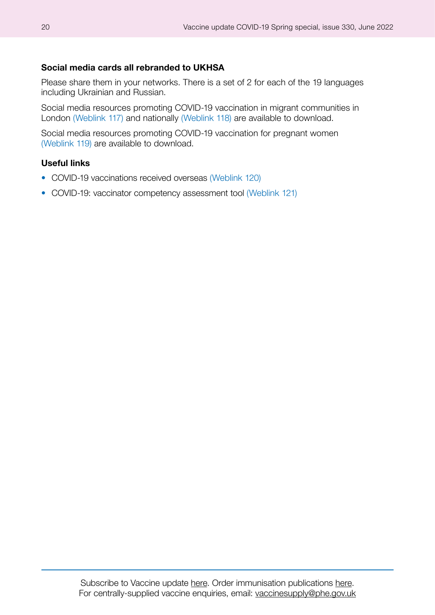#### **Social media cards all rebranded to UKHSA**

Please share them in your networks. There is a set of 2 for each of the 19 languages including Ukrainian and Russian.

Social media resources promoting COVID-19 vaccination in migrant communities in London [\(Weblink 117\)](https://www.healthpublications.gov.uk/ViewArticle.html?sp=Scovid19vaccinationsocialmediacards2021london) and [nationally \(Weblink 118\)](https://www.healthpublications.gov.uk/ViewArticle.html?sp=Scovid19vaccinationsocialmediacards2021national) are available to download.

Social media resources promoting [COVID-19 vaccination for pregnant women](https://www.healthpublications.gov.uk/ArticleSearch.html?sp=Sreset&keyword=Pregnant%3F+Have+your+COVID-19+vaccines+social+media+cards) [\(Weblink 119\) a](https://www.healthpublications.gov.uk/ArticleSearch.html?sp=Sreset&keyword=Pregnant%3F+Have+your+COVID-19+vaccines+social+media+cards)re available to download.

#### **Useful links**

- [COVID-19 vaccinations received overseas](https://www.gov.uk/government/publications/covid-19-vaccinations-received-overseas) [\(Weblink 120\)](https://www.gov.uk/government/publications/covid-19-vaccinations-received-overseas)
- [COVID-19: vaccinator competency assessment tool](https://www.gov.uk/government/publications/covid-19-vaccinator-competency-assessment-tool) [\(Weblink 121\)](https://www.gov.uk/government/publications/covid-19-vaccinator-competency-assessment-tool)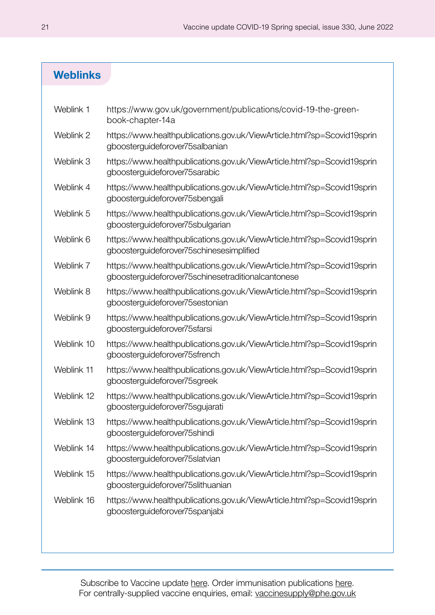| Weblink 1  | https://www.gov.uk/government/publications/covid-19-the-green-<br>book-chapter-14a                                            |
|------------|-------------------------------------------------------------------------------------------------------------------------------|
| Weblink 2  | https://www.healthpublications.gov.uk/ViewArticle.html?sp=Scovid19sprin<br>gboosterguideforover75salbanian                    |
| Weblink 3  | https://www.healthpublications.gov.uk/ViewArticle.html?sp=Scovid19sprin<br>gboosterguideforover75sarabic                      |
| Weblink 4  | https://www.healthpublications.gov.uk/ViewArticle.html?sp=Scovid19sprin<br>gboosterguideforover75sbengali                     |
| Weblink 5  | https://www.healthpublications.gov.uk/ViewArticle.html?sp=Scovid19sprin<br>gboosterguideforover75sbulgarian                   |
| Weblink 6  | https://www.healthpublications.gov.uk/ViewArticle.html?sp=Scovid19sprin<br>gboosterguideforover75schinesesimplified           |
| Weblink 7  | https://www.healthpublications.gov.uk/ViewArticle.html?sp=Scovid19sprin<br>gboosterguideforover75schinesetraditionalcantonese |
| Weblink 8  | https://www.healthpublications.gov.uk/ViewArticle.html?sp=Scovid19sprin<br>gboosterguideforover75sestonian                    |
| Weblink 9  | https://www.healthpublications.gov.uk/ViewArticle.html?sp=Scovid19sprin<br>gboosterguideforover75sfarsi                       |
| Weblink 10 | https://www.healthpublications.gov.uk/ViewArticle.html?sp=Scovid19sprin<br>gboosterguideforover75sfrench                      |
| Weblink 11 | https://www.healthpublications.gov.uk/ViewArticle.html?sp=Scovid19sprin<br>gboosterguideforover75sgreek                       |
| Weblink 12 | https://www.healthpublications.gov.uk/ViewArticle.html?sp=Scovid19sprin<br>gboosterguideforover75sgujarati                    |
| Weblink 13 | https://www.healthpublications.gov.uk/ViewArticle.html?sp=Scovid19sprin<br>gboosterguideforover75shindi                       |
| Weblink 14 | https://www.healthpublications.gov.uk/ViewArticle.html?sp=Scovid19sprin<br>gboosterguideforover75slatvian                     |
| Weblink 15 | https://www.healthpublications.gov.uk/ViewArticle.html?sp=Scovid19sprin<br>gboosterguideforover75slithuanian                  |
| Weblink 16 | https://www.healthpublications.gov.uk/ViewArticle.html?sp=Scovid19sprin<br>gboosterguideforover75spanjabi                     |
|            |                                                                                                                               |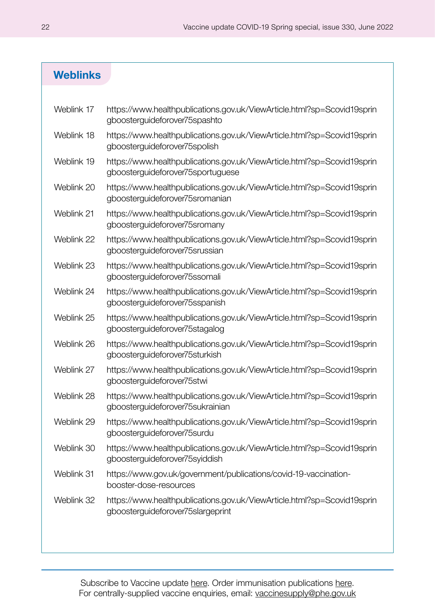| Weblink 17 | https://www.healthpublications.gov.uk/ViewArticle.html?sp=Scovid19sprin<br>gboosterguideforover75spashto     |
|------------|--------------------------------------------------------------------------------------------------------------|
| Weblink 18 | https://www.healthpublications.gov.uk/ViewArticle.html?sp=Scovid19sprin<br>gboosterguideforover75spolish     |
| Weblink 19 | https://www.healthpublications.gov.uk/ViewArticle.html?sp=Scovid19sprin<br>gboosterguideforover75sportuguese |
| Weblink 20 | https://www.healthpublications.gov.uk/ViewArticle.html?sp=Scovid19sprin<br>gboosterguideforover75sromanian   |
| Weblink 21 | https://www.healthpublications.gov.uk/ViewArticle.html?sp=Scovid19sprin<br>gboosterguideforover75sromany     |
| Weblink 22 | https://www.healthpublications.gov.uk/ViewArticle.html?sp=Scovid19sprin<br>gboosterguideforover75srussian    |
| Weblink 23 | https://www.healthpublications.gov.uk/ViewArticle.html?sp=Scovid19sprin<br>gboosterguideforover75ssomali     |
| Weblink 24 | https://www.healthpublications.gov.uk/ViewArticle.html?sp=Scovid19sprin<br>gboosterguideforover75sspanish    |
| Weblink 25 | https://www.healthpublications.gov.uk/ViewArticle.html?sp=Scovid19sprin<br>gboosterguideforover75stagalog    |
| Weblink 26 | https://www.healthpublications.gov.uk/ViewArticle.html?sp=Scovid19sprin<br>gboosterguideforover75sturkish    |
| Weblink 27 | https://www.healthpublications.gov.uk/ViewArticle.html?sp=Scovid19sprin<br>gboosterguideforover75stwi        |
| Weblink 28 | https://www.healthpublications.gov.uk/ViewArticle.html?sp=Scovid19sprin<br>gboosterguideforover75sukrainian  |
| Weblink 29 | https://www.healthpublications.gov.uk/ViewArticle.html?sp=Scovid19sprin<br>gboosterguideforover75surdu       |
| Weblink 30 | https://www.healthpublications.gov.uk/ViewArticle.html?sp=Scovid19sprin<br>gboosterguideforover75syiddish    |
| Weblink 31 | https://www.gov.uk/government/publications/covid-19-vaccination-<br>booster-dose-resources                   |
| Weblink 32 | https://www.healthpublications.gov.uk/ViewArticle.html?sp=Scovid19sprin<br>gboosterguideforover75slargeprint |
|            |                                                                                                              |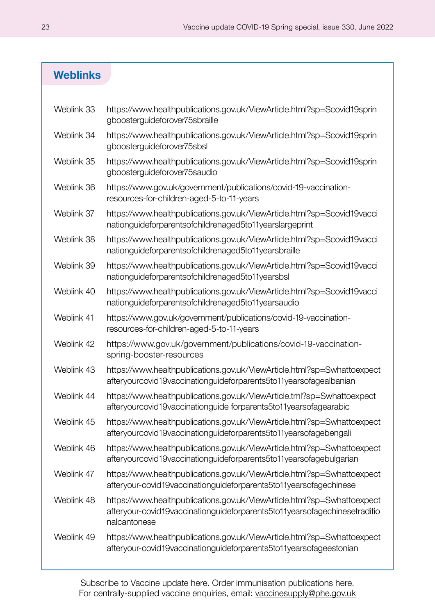| Weblink 33 | https://www.healthpublications.gov.uk/ViewArticle.html?sp=Scovid19sprin<br>gboosterguideforover75sbraille                                                            |
|------------|----------------------------------------------------------------------------------------------------------------------------------------------------------------------|
| Weblink 34 | https://www.healthpublications.gov.uk/ViewArticle.html?sp=Scovid19sprin<br>gboosterguideforover75sbsl                                                                |
| Weblink 35 | https://www.healthpublications.gov.uk/ViewArticle.html?sp=Scovid19sprin<br>gboosterguideforover75saudio                                                              |
| Weblink 36 | https://www.gov.uk/government/publications/covid-19-vaccination-<br>resources-for-children-aged-5-to-11-years                                                        |
| Weblink 37 | https://www.healthpublications.gov.uk/ViewArticle.html?sp=Scovid19vacci<br>nationguideforparentsofchildrenaged5to11yearslargeprint                                   |
| Weblink 38 | https://www.healthpublications.gov.uk/ViewArticle.html?sp=Scovid19vacci<br>nationguideforparentsofchildrenaged5to11yearsbraille                                      |
| Weblink 39 | https://www.healthpublications.gov.uk/ViewArticle.html?sp=Scovid19vacci<br>nationguideforparentsofchildrenaged5to11yearsbsl                                          |
| Weblink 40 | https://www.healthpublications.gov.uk/ViewArticle.html?sp=Scovid19vacci<br>nationguideforparentsofchildrenaged5to11yearsaudio                                        |
| Weblink 41 | https://www.gov.uk/government/publications/covid-19-vaccination-<br>resources-for-children-aged-5-to-11-years                                                        |
| Weblink 42 | https://www.gov.uk/government/publications/covid-19-vaccination-<br>spring-booster-resources                                                                         |
| Weblink 43 | https://www.healthpublications.gov.uk/ViewArticle.html?sp=Swhattoexpect<br>afteryourcovid19vaccinationguideforparents5to11yearsofagealbanian                         |
| Weblink 44 | https://www.healthpublications.gov.uk/ViewArticle.tml?sp=Swhattoexpect<br>afteryourcovid19vaccinationguide forparents5to11yearsofagearabic                           |
| Weblink 45 | https://www.healthpublications.gov.uk/ViewArticle.html?sp=Swhattoexpect<br>afteryourcovid19vaccinationguideforparents5to11yearsofagebengali                          |
| Weblink 46 | https://www.healthpublications.gov.uk/ViewArticle.html?sp=Swhattoexpect<br>afteryourcovid19vaccinationguideforparents5to11yearsofagebulgarian                        |
| Weblink 47 | https://www.healthpublications.gov.uk/ViewArticle.html?sp=Swhattoexpect<br>afteryour-covid19vaccinationguideforparents5to11yearsofagechinese                         |
| Weblink 48 | https://www.healthpublications.gov.uk/ViewArticle.html?sp=Swhattoexpect<br>afteryour-covid19vaccinationguideforparents5to11yearsofagechinesetraditio<br>nalcantonese |
| Weblink 49 | https://www.healthpublications.gov.uk/ViewArticle.html?sp=Swhattoexpect<br>afteryour-covid19vaccinationguideforparents5to11yearsofageestonian                        |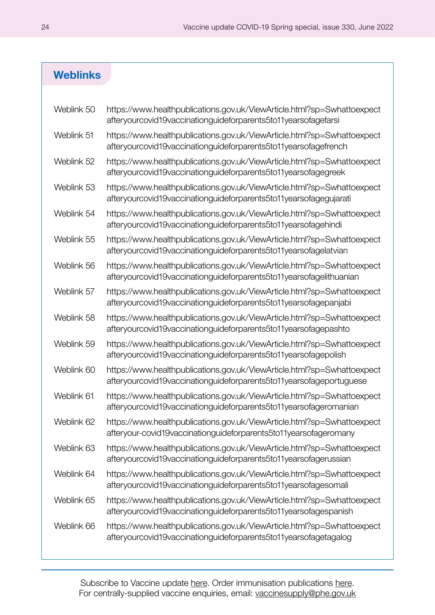| Weblink 50 | https://www.healthpublications.gov.uk/ViewArticle.html?sp=Swhattoexpect<br>afteryourcovid19vaccinationguideforparents5to11yearsofagefarsi      |
|------------|------------------------------------------------------------------------------------------------------------------------------------------------|
| Weblink 51 | https://www.healthpublications.gov.uk/ViewArticle.html?sp=Swhattoexpect<br>afteryourcovid19vaccinationguideforparents5to11yearsofagefrench     |
| Weblink 52 | https://www.healthpublications.gov.uk/ViewArticle.html?sp=Swhattoexpect<br>afteryourcovid19vaccinationguideforparents5to11yearsofagegreek      |
| Weblink 53 | https://www.healthpublications.gov.uk/ViewArticle.html?sp=Swhattoexpect<br>afteryourcovid19vaccinationguideforparents5to11yearsofagegujarati   |
| Weblink 54 | https://www.healthpublications.gov.uk/ViewArticle.html?sp=Swhattoexpect<br>afteryourcovid19vaccinationguideforparents5to11yearsofagehindi      |
| Weblink 55 | https://www.healthpublications.gov.uk/ViewArticle.html?sp=Swhattoexpect<br>afteryourcovid19vaccinationguideforparents5to11yearsofagelatvian    |
| Weblink 56 | https://www.healthpublications.gov.uk/ViewArticle.html?sp=Swhattoexpect<br>afteryourcovid19vaccinationguideforparents5to11yearsofagelithuanian |
| Weblink 57 | https://www.healthpublications.gov.uk/ViewArticle.html?sp=Swhattoexpect<br>afteryourcovid19vaccinationguideforparents5to11yearsofagepanjabi    |
| Weblink 58 | https://www.healthpublications.gov.uk/ViewArticle.html?sp=Swhattoexpect<br>afteryourcovid19vaccinationguideforparents5to11yearsofagepashto     |
| Weblink 59 | https://www.healthpublications.gov.uk/ViewArticle.html?sp=Swhattoexpect<br>afteryourcovid19vaccinationguideforparents5to11yearsofagepolish     |
| Weblink 60 | https://www.healthpublications.gov.uk/ViewArticle.html?sp=Swhattoexpect<br>afteryourcovid19vaccinationguideforparents5to11yearsofageportuguese |
| Weblink 61 | https://www.healthpublications.gov.uk/ViewArticle.html?sp=Swhattoexpect<br>afteryourcovid19vaccinationguideforparents5to11yearsofageromanian   |
| Weblink 62 | https://www.healthpublications.gov.uk/ViewArticle.html?sp=Swhattoexpect<br>afteryour-covid19vaccinationguideforparents5to11yearsofageromany    |
| Weblink 63 | https://www.healthpublications.gov.uk/ViewArticle.html?sp=Swhattoexpect<br>afteryourcovid19vaccinationguideforparents5to11yearsofagerussian    |
| Weblink 64 | https://www.healthpublications.gov.uk/ViewArticle.html?sp=Swhattoexpect<br>afteryourcovid19vaccinationguideforparents5to11yearsofagesomali     |
| Weblink 65 | https://www.healthpublications.gov.uk/ViewArticle.html?sp=Swhattoexpect<br>afteryourcovid19vaccinationguideforparents5to11yearsofagespanish    |
| Weblink 66 | https://www.healthpublications.gov.uk/ViewArticle.html?sp=Swhattoexpect<br>afteryourcovid19vaccinationguideforparents5to11yearsofagetagalog    |

Subscribe to Vaccine update [here.](https://www.healthpublications.gov.uk/Home.html) Order immunisation publications here. For centrally-supplied vaccine enquiries, email: [vaccinesupply@phe.gov.uk](mailto:vaccinesupply%40phe.gov.uk?subject=)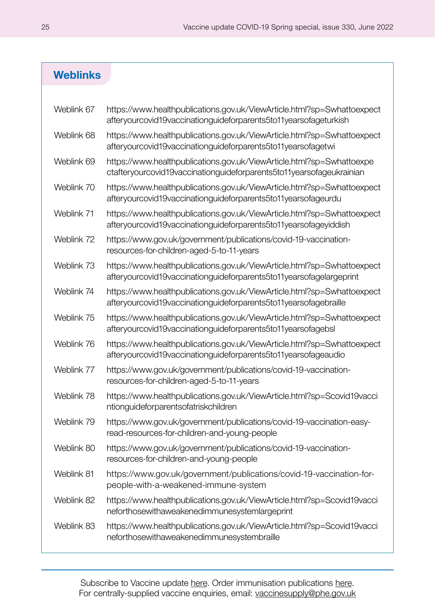| Weblink 67 | https://www.healthpublications.gov.uk/ViewArticle.html?sp=Swhattoexpect<br>afteryourcovid19vaccinationguideforparents5to11yearsofageturkish    |
|------------|------------------------------------------------------------------------------------------------------------------------------------------------|
| Weblink 68 | https://www.healthpublications.gov.uk/ViewArticle.html?sp=Swhattoexpect<br>afteryourcovid19vaccinationguideforparents5to11yearsofagetwi        |
| Weblink 69 | https://www.healthpublications.gov.uk/ViewArticle.html?sp=Swhattoexpe<br>ctafteryourcovid19vaccinationguideforparents5to11yearsofageukrainian  |
| Weblink 70 | https://www.healthpublications.gov.uk/ViewArticle.html?sp=Swhattoexpect<br>afteryourcovid19vaccinationguideforparents5to11yearsofageurdu       |
| Weblink 71 | https://www.healthpublications.gov.uk/ViewArticle.html?sp=Swhattoexpect<br>afteryourcovid19vaccinationguideforparents5to11yearsofageyiddish    |
| Weblink 72 | https://www.gov.uk/government/publications/covid-19-vaccination-<br>resources-for-children-aged-5-to-11-years                                  |
| Weblink 73 | https://www.healthpublications.gov.uk/ViewArticle.html?sp=Swhattoexpect<br>afteryourcovid19vaccinationguideforparents5to11yearsofagelargeprint |
| Weblink 74 | https://www.healthpublications.gov.uk/ViewArticle.html?sp=Swhattoexpect<br>afteryourcovid19vaccinationguideforparents5to11yearsofagebraille    |
| Weblink 75 | https://www.healthpublications.gov.uk/ViewArticle.html?sp=Swhattoexpect<br>afteryourcovid19vaccinationguideforparents5to11yearsofagebsl        |
| Weblink 76 | https://www.healthpublications.gov.uk/ViewArticle.html?sp=Swhattoexpect<br>afteryourcovid19vaccinationguideforparents5to11yearsofageaudio      |
| Weblink 77 | https://www.gov.uk/government/publications/covid-19-vaccination-<br>resources-for-children-aged-5-to-11-years                                  |
| Weblink 78 | https://www.healthpublications.gov.uk/ViewArticle.html?sp=Scovid19vacci<br>ntionguideforparentsofatriskchildren                                |
| Weblink 79 | https://www.gov.uk/government/publications/covid-19-vaccination-easy-<br>read-resources-for-children-and-young-people                          |
| Weblink 80 | https://www.gov.uk/government/publications/covid-19-vaccination-<br>resources-for-children-and-young-people                                    |
| Weblink 81 | https://www.gov.uk/government/publications/covid-19-vaccination-for-<br>people-with-a-weakened-immune-system                                   |
| Weblink 82 | https://www.healthpublications.gov.uk/ViewArticle.html?sp=Scovid19vacci<br>neforthosewithaweakenedimmunesystemlargeprint                       |
| Weblink 83 | https://www.healthpublications.gov.uk/ViewArticle.html?sp=Scovid19vacci<br>neforthosewithaweakenedimmunesystembraille                          |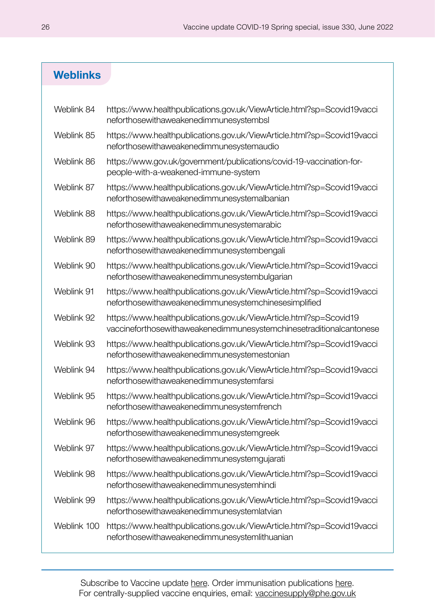| Weblink 84  | https://www.healthpublications.gov.uk/ViewArticle.html?sp=Scovid19vacci<br>neforthosewithaweakenedimmunesystembsl                         |
|-------------|-------------------------------------------------------------------------------------------------------------------------------------------|
| Weblink 85  | https://www.healthpublications.gov.uk/ViewArticle.html?sp=Scovid19vacci<br>neforthosewithaweakenedimmunesystemaudio                       |
| Weblink 86  | https://www.gov.uk/government/publications/covid-19-vaccination-for-<br>people-with-a-weakened-immune-system                              |
| Weblink 87  | https://www.healthpublications.gov.uk/ViewArticle.html?sp=Scovid19vacci<br>neforthosewithaweakenedimmunesystemalbanian                    |
| Weblink 88  | https://www.healthpublications.gov.uk/ViewArticle.html?sp=Scovid19vacci<br>neforthosewithaweakenedimmunesystemarabic                      |
| Weblink 89  | https://www.healthpublications.gov.uk/ViewArticle.html?sp=Scovid19vacci<br>neforthosewithaweakenedimmunesystembengali                     |
| Weblink 90  | https://www.healthpublications.gov.uk/ViewArticle.html?sp=Scovid19vacci<br>neforthosewithaweakenedimmunesystembulgarian                   |
| Weblink 91  | https://www.healthpublications.gov.uk/ViewArticle.html?sp=Scovid19vacci<br>neforthosewithaweakenedimmunesystemchinesesimplified           |
| Weblink 92  | https://www.healthpublications.gov.uk/ViewArticle.html?sp=Scovid19<br>vaccineforthosewithaweakenedimmunesystemchinesetraditionalcantonese |
| Weblink 93  | https://www.healthpublications.gov.uk/ViewArticle.html?sp=Scovid19vacci<br>neforthosewithaweakenedimmunesystemestonian                    |
| Weblink 94  | https://www.healthpublications.gov.uk/ViewArticle.html?sp=Scovid19vacci<br>neforthosewithaweakenedimmunesystemfarsi                       |
| Weblink 95  | https://www.healthpublications.gov.uk/ViewArticle.html?sp=Scovid19vacci<br>neforthosewithaweakenedimmunesystemfrench                      |
| Weblink 96  | https://www.healthpublications.gov.uk/ViewArticle.html?sp=Scovid19vacci<br>neforthosewithaweakenedimmunesystemgreek                       |
| Weblink 97  | https://www.healthpublications.gov.uk/ViewArticle.html?sp=Scovid19vacci<br>neforthosewithaweakenedimmunesystemgujarati                    |
| Weblink 98  | https://www.healthpublications.gov.uk/ViewArticle.html?sp=Scovid19vacci<br>neforthosewithaweakenedimmunesystemhindi                       |
| Weblink 99  | https://www.healthpublications.gov.uk/ViewArticle.html?sp=Scovid19vacci<br>neforthosewithaweakenedimmunesystemlatvian                     |
| Weblink 100 | https://www.healthpublications.gov.uk/ViewArticle.html?sp=Scovid19vacci<br>neforthosewithaweakenedimmunesystemlithuanian                  |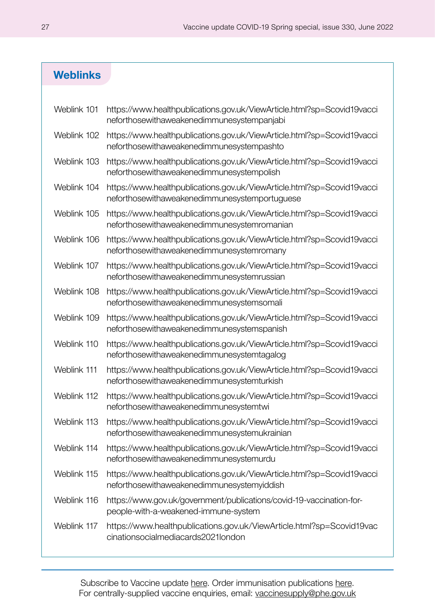| Weblink 101 | https://www.healthpublications.gov.uk/ViewArticle.html?sp=Scovid19vacci<br>neforthosewithaweakenedimmunesystempanjabi    |
|-------------|--------------------------------------------------------------------------------------------------------------------------|
| Weblink 102 | https://www.healthpublications.gov.uk/ViewArticle.html?sp=Scovid19vacci<br>neforthosewithaweakenedimmunesystempashto     |
| Weblink 103 | https://www.healthpublications.gov.uk/ViewArticle.html?sp=Scovid19vacci<br>neforthosewithaweakenedimmunesystempolish     |
| Weblink 104 | https://www.healthpublications.gov.uk/ViewArticle.html?sp=Scovid19vacci<br>neforthosewithaweakenedimmunesystemportuguese |
| Weblink 105 | https://www.healthpublications.gov.uk/ViewArticle.html?sp=Scovid19vacci<br>neforthosewithaweakenedimmunesystemromanian   |
| Weblink 106 | https://www.healthpublications.gov.uk/ViewArticle.html?sp=Scovid19vacci<br>neforthosewithaweakenedimmunesystemromany     |
| Weblink 107 | https://www.healthpublications.gov.uk/ViewArticle.html?sp=Scovid19vacci<br>neforthosewithaweakenedimmunesystemrussian    |
| Weblink 108 | https://www.healthpublications.gov.uk/ViewArticle.html?sp=Scovid19vacci<br>neforthosewithaweakenedimmunesystemsomali     |
| Weblink 109 | https://www.healthpublications.gov.uk/ViewArticle.html?sp=Scovid19vacci<br>neforthosewithaweakenedimmunesystemspanish    |
| Weblink 110 | https://www.healthpublications.gov.uk/ViewArticle.html?sp=Scovid19vacci<br>neforthosewithaweakenedimmunesystemtagalog    |
| Weblink 111 | https://www.healthpublications.gov.uk/ViewArticle.html?sp=Scovid19vacci<br>neforthosewithaweakenedimmunesystemturkish    |
| Weblink 112 | https://www.healthpublications.gov.uk/ViewArticle.html?sp=Scovid19vacci<br>neforthosewithaweakenedimmunesystemtwi        |
| Weblink 113 | https://www.healthpublications.gov.uk/ViewArticle.html?sp=Scovid19vacci<br>neforthosewithaweakenedimmunesystemukrainian  |
| Weblink 114 | https://www.healthpublications.gov.uk/ViewArticle.html?sp=Scovid19vacci<br>neforthosewithaweakenedimmunesystemurdu       |
| Weblink 115 | https://www.healthpublications.gov.uk/ViewArticle.html?sp=Scovid19vacci<br>neforthosewithaweakenedimmunesystemyiddish    |
| Weblink 116 | https://www.gov.uk/government/publications/covid-19-vaccination-for-<br>people-with-a-weakened-immune-system             |
| Weblink 117 | https://www.healthpublications.gov.uk/ViewArticle.html?sp=Scovid19vac<br>cinationsocialmediacards2021london              |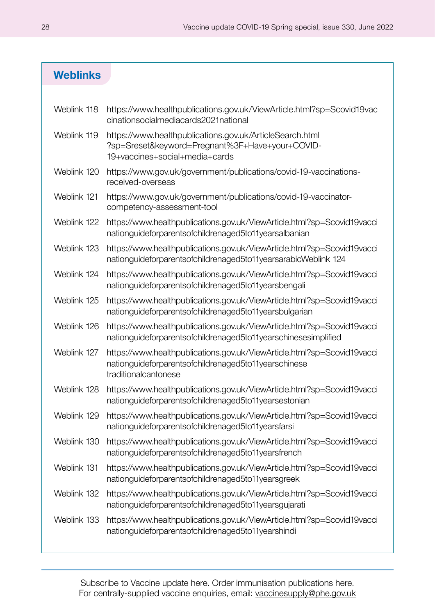| Weblink 118 | https://www.healthpublications.gov.uk/ViewArticle.html?sp=Scovid19vac<br>cinationsocialmediacards2021national                                           |
|-------------|---------------------------------------------------------------------------------------------------------------------------------------------------------|
| Weblink 119 | https://www.healthpublications.gov.uk/ArticleSearch.html<br>?sp=Sreset&keyword=Pregnant%3F+Have+your+COVID-<br>19+vaccines+social+media+cards           |
| Weblink 120 | https://www.gov.uk/government/publications/covid-19-vaccinations-<br>received-overseas                                                                  |
| Weblink 121 | https://www.gov.uk/government/publications/covid-19-vaccinator-<br>competency-assessment-tool                                                           |
| Weblink 122 | https://www.healthpublications.gov.uk/ViewArticle.html?sp=Scovid19vacci<br>nationguideforparentsofchildrenaged5to11yearsalbanian                        |
| Weblink 123 | https://www.healthpublications.gov.uk/ViewArticle.html?sp=Scovid19vacci<br>nationguideforparentsofchildrenaged5to11yearsarabicWeblink 124               |
| Weblink 124 | https://www.healthpublications.gov.uk/ViewArticle.html?sp=Scovid19vacci<br>nationguideforparentsofchildrenaged5to11yearsbengali                         |
| Weblink 125 | https://www.healthpublications.gov.uk/ViewArticle.html?sp=Scovid19vacci<br>nationguideforparentsofchildrenaged5to11yearsbulgarian                       |
| Weblink 126 | https://www.healthpublications.gov.uk/ViewArticle.html?sp=Scovid19vacci<br>nationguideforparentsofchildrenaged5to11yearschinesesimplified               |
| Weblink 127 | https://www.healthpublications.gov.uk/ViewArticle.html?sp=Scovid19vacci<br>nationguideforparentsofchildrenaged5to11yearschinese<br>traditionalcantonese |
| Weblink 128 | https://www.healthpublications.gov.uk/ViewArticle.html?sp=Scovid19vacci<br>nationguideforparentsofchildrenaged5to11yearsestonian                        |
| Weblink 129 | https://www.healthpublications.gov.uk/ViewArticle.html?sp=Scovid19vacci<br>nationguideforparentsofchildrenaged5to11yearsfarsi                           |
| Weblink 130 | https://www.healthpublications.gov.uk/ViewArticle.html?sp=Scovid19vacci<br>nationguideforparentsofchildrenaged5to11yearsfrench                          |
| Weblink 131 | https://www.healthpublications.gov.uk/ViewArticle.html?sp=Scovid19vacci<br>nationguideforparentsofchildrenaged5to11yearsgreek                           |
| Weblink 132 | https://www.healthpublications.gov.uk/ViewArticle.html?sp=Scovid19vacci<br>nationguideforparentsofchildrenaged5to11yearsgujarati                        |
| Weblink 133 | https://www.healthpublications.gov.uk/ViewArticle.html?sp=Scovid19vacci<br>nationguideforparentsofchildrenaged5to11yearshindi                           |